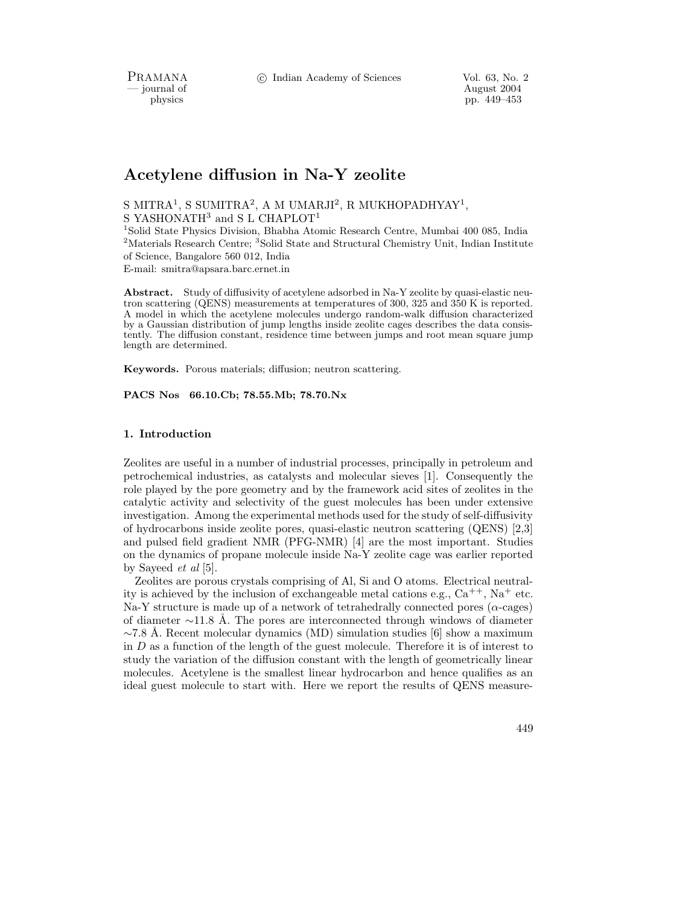PRAMANA <sup>6</sup> C Indian Academy of Sciences Vol. 63, No. 2<br>
— journal of August 2004

physics and the control of the control of the pp. 449–453 control of the pp. 449–453 physics pp. 449–453

# Acetylene diffusion in Na-Y zeolite

S MITRA<sup>1</sup>, S SUMITRA<sup>2</sup>, A M UMARJI<sup>2</sup>, R MUKHOPADHYAY<sup>1</sup>, S YASHONATH<sup>3</sup> and S L CHAPLOT<sup>1</sup>

<sup>1</sup>Solid State Physics Division, Bhabha Atomic Research Centre, Mumbai 400 085, India <sup>2</sup>Materials Research Centre; <sup>3</sup>Solid State and Structural Chemistry Unit, Indian Institute of Science, Bangalore 560 012, India

E-mail: smitra@apsara.barc.ernet.in

Abstract. Study of diffusivity of acetylene adsorbed in Na-Y zeolite by quasi-elastic neutron scattering (QENS) measurements at temperatures of 300, 325 and 350 K is reported. A model in which the acetylene molecules undergo random-walk diffusion characterized by a Gaussian distribution of jump lengths inside zeolite cages describes the data consistently. The diffusion constant, residence time between jumps and root mean square jump length are determined.

Keywords. Porous materials; diffusion; neutron scattering.

PACS Nos 66.10.Cb; 78.55.Mb; 78.70.Nx

## 1. Introduction

Zeolites are useful in a number of industrial processes, principally in petroleum and petrochemical industries, as catalysts and molecular sieves [1]. Consequently the role played by the pore geometry and by the framework acid sites of zeolites in the catalytic activity and selectivity of the guest molecules has been under extensive investigation. Among the experimental methods used for the study of self-diffusivity of hydrocarbons inside zeolite pores, quasi-elastic neutron scattering (QENS) [2,3] and pulsed field gradient NMR (PFG-NMR) [4] are the most important. Studies on the dynamics of propane molecule inside Na-Y zeolite cage was earlier reported by Sayeed et al [5].

Zeolites are porous crystals comprising of Al, Si and O atoms. Electrical neutrality is achieved by the inclusion of exchangeable metal cations e.g.,  $Ca^{++}$ , Na<sup>+</sup> etc. Na-Y structure is made up of a network of tetrahedrally connected pores ( $\alpha$ -cages) of diameter  $\sim$ 11.8 Å. The pores are interconnected through windows of diameter  $\sim$ 7.8 Å. Recent molecular dynamics (MD) simulation studies [6] show a maximum in  $D$  as a function of the length of the guest molecule. Therefore it is of interest to study the variation of the diffusion constant with the length of geometrically linear molecules. Acetylene is the smallest linear hydrocarbon and hence qualifies as an ideal guest molecule to start with. Here we report the results of QENS measure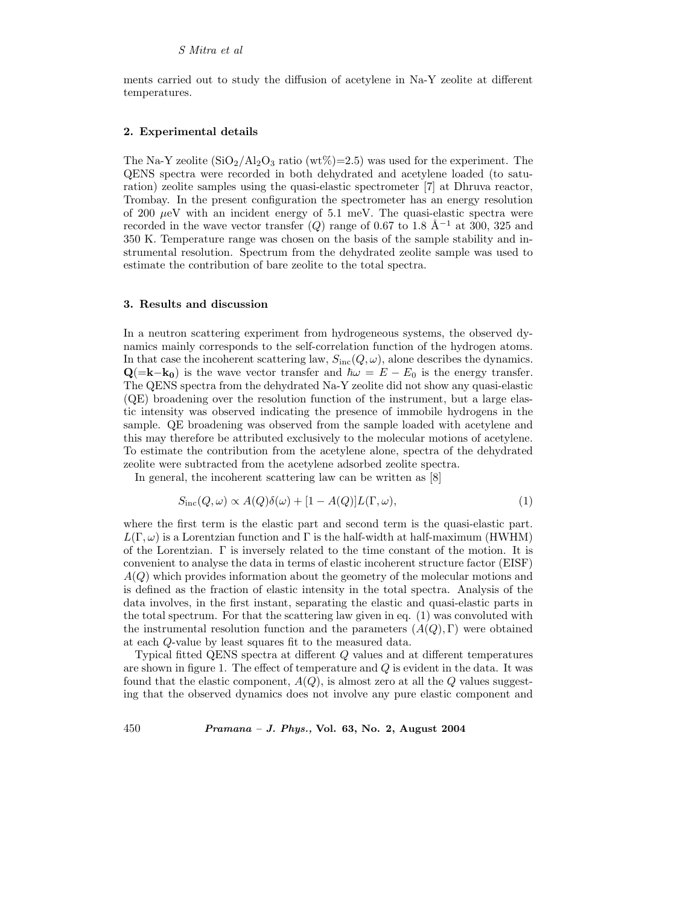ments carried out to study the diffusion of acetylene in Na-Y zeolite at different temperatures.

#### 2. Experimental details

The Na-Y zeolite  $(SiO_2/Al_2O_3 \text{ ratio } (wt\%)=2.5)$  was used for the experiment. The QENS spectra were recorded in both dehydrated and acetylene loaded (to saturation) zeolite samples using the quasi-elastic spectrometer [7] at Dhruva reactor, Trombay. In the present configuration the spectrometer has an energy resolution of 200  $\mu$ eV with an incident energy of 5.1 meV. The quasi-elastic spectra were recorded in the wave vector transfer  $(Q)$  range of 0.67 to 1.8 Å<sup>-1</sup> at 300, 325 and 350 K. Temperature range was chosen on the basis of the sample stability and instrumental resolution. Spectrum from the dehydrated zeolite sample was used to estimate the contribution of bare zeolite to the total spectra.

#### 3. Results and discussion

In a neutron scattering experiment from hydrogeneous systems, the observed dynamics mainly corresponds to the self-correlation function of the hydrogen atoms. In that case the incoherent scattering law,  $S_{\text{inc}}(Q, \omega)$ , alone describes the dynamics.  $\mathbf{Q}$ (=k−k<sub>0</sub>) is the wave vector transfer and  $\hbar\omega = E - E_0$  is the energy transfer. The QENS spectra from the dehydrated Na-Y zeolite did not show any quasi-elastic (QE) broadening over the resolution function of the instrument, but a large elastic intensity was observed indicating the presence of immobile hydrogens in the sample. QE broadening was observed from the sample loaded with acetylene and this may therefore be attributed exclusively to the molecular motions of acetylene. To estimate the contribution from the acetylene alone, spectra of the dehydrated zeolite were subtracted from the acetylene adsorbed zeolite spectra.

In general, the incoherent scattering law can be written as [8]

$$
S_{\rm inc}(Q,\omega) \propto A(Q)\delta(\omega) + [1 - A(Q)]L(\Gamma,\omega), \tag{1}
$$

where the first term is the elastic part and second term is the quasi-elastic part.  $L(\Gamma,\omega)$  is a Lorentzian function and  $\Gamma$  is the half-width at half-maximum (HWHM) of the Lorentzian.  $\Gamma$  is inversely related to the time constant of the motion. It is convenient to analyse the data in terms of elastic incoherent structure factor (EISF)  $A(Q)$  which provides information about the geometry of the molecular motions and is defined as the fraction of elastic intensity in the total spectra. Analysis of the data involves, in the first instant, separating the elastic and quasi-elastic parts in the total spectrum. For that the scattering law given in eq. (1) was convoluted with the instrumental resolution function and the parameters  $(A(Q), \Gamma)$  were obtained at each Q-value by least squares fit to the measured data.

Typical fitted QENS spectra at different Q values and at different temperatures are shown in figure 1. The effect of temperature and Q is evident in the data. It was found that the elastic component,  $A(Q)$ , is almost zero at all the Q values suggesting that the observed dynamics does not involve any pure elastic component and

450 Pramana – J. Phys., Vol. 63, No. 2, August 2004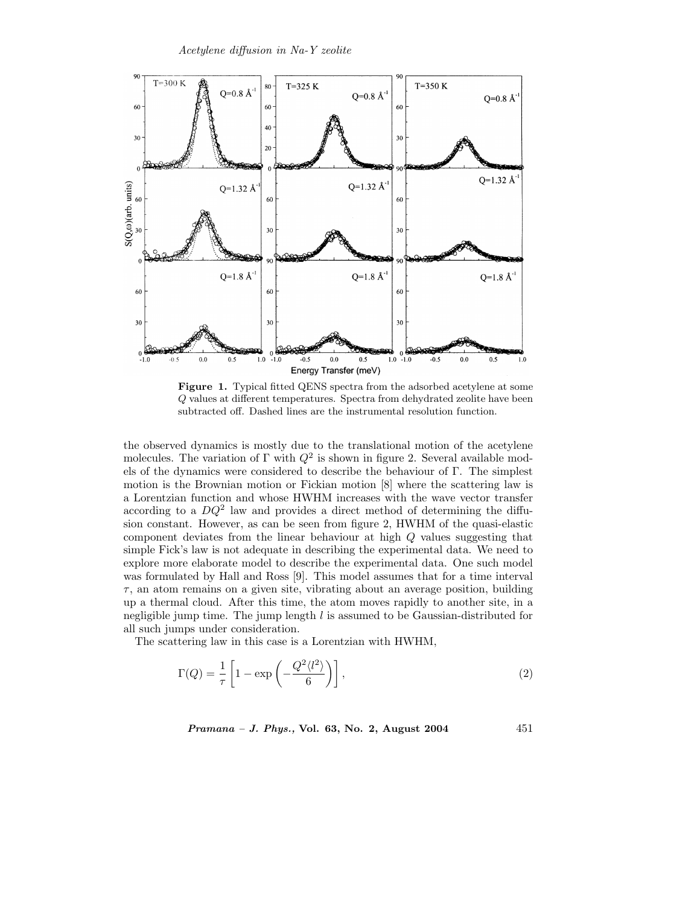

Figure 1. Typical fitted QENS spectra from the adsorbed acetylene at some Q values at different temperatures. Spectra from dehydrated zeolite have been subtracted off. Dashed lines are the instrumental resolution function.

the observed dynamics is mostly due to the translational motion of the acetylene molecules. The variation of  $\Gamma$  with  $Q^2$  is shown in figure 2. Several available models of the dynamics were considered to describe the behaviour of Γ. The simplest motion is the Brownian motion or Fickian motion [8] where the scattering law is a Lorentzian function and whose HWHM increases with the wave vector transfer according to a  $DQ^2$  law and provides a direct method of determining the diffusion constant. However, as can be seen from figure 2, HWHM of the quasi-elastic component deviates from the linear behaviour at high Q values suggesting that simple Fick's law is not adequate in describing the experimental data. We need to explore more elaborate model to describe the experimental data. One such model was formulated by Hall and Ross [9]. This model assumes that for a time interval  $\tau$ , an atom remains on a given site, vibrating about an average position, building up a thermal cloud. After this time, the atom moves rapidly to another site, in a negligible jump time. The jump length  $l$  is assumed to be Gaussian-distributed for all such jumps under consideration.

The scattering law in this case is a Lorentzian with HWHM,

$$
\Gamma(Q) = \frac{1}{\tau} \left[ 1 - \exp\left( -\frac{Q^2 \langle l^2 \rangle}{6} \right) \right],\tag{2}
$$

Pramana – J. Phys., Vol. 63, No. 2, August 2004 451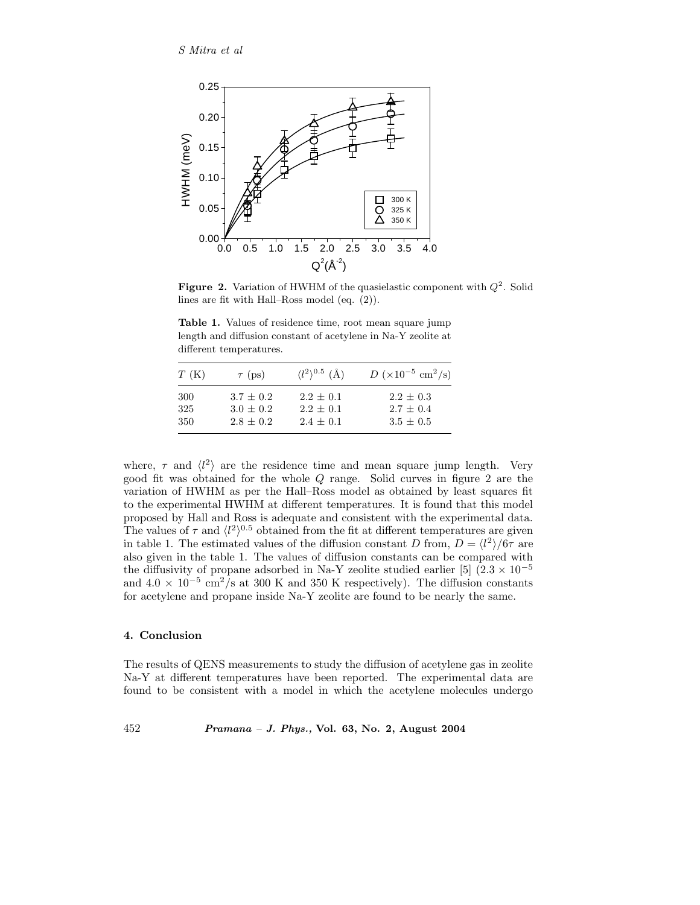

Figure 2. Variation of HWHM of the quasielastic component with  $Q^2$ . Solid lines are fit with Hall–Ross model (eq. (2)).

Table 1. Values of residence time, root mean square jump length and diffusion constant of acetylene in Na-Y zeolite at different temperatures.

| T(K)       | $\tau$ (ps)                | $\langle l^2 \rangle^{0.5}$ (Å) | $D (\times 10^{-5} \text{ cm}^2/\text{s})$ |
|------------|----------------------------|---------------------------------|--------------------------------------------|
| 300        | $3.7 + 0.2$                | $2.2 + 0.1$                     | $2.2 \pm 0.3$                              |
| 325<br>350 | $3.0 + 0.2$<br>$2.8 + 0.2$ | $2.2 + 0.1$<br>$2.4 + 0.1$      | $2.7 + 0.4$<br>$3.5 \pm 0.5$               |

where,  $\tau$  and  $\langle l^2 \rangle$  are the residence time and mean square jump length. Very good fit was obtained for the whole Q range. Solid curves in figure 2 are the variation of HWHM as per the Hall–Ross model as obtained by least squares fit to the experimental HWHM at different temperatures. It is found that this model proposed by Hall and Ross is adequate and consistent with the experimental data. The values of  $\tau$  and  $\langle l^2 \rangle^{0.5}$  obtained from the fit at different temperatures are given in table 1. The estimated values of the diffusion constant D from,  $D = \langle l^2 \rangle / 6\tau$  are also given in the table 1. The values of diffusion constants can be compared with the diffusivity of propane adsorbed in Na-Y zeolite studied earlier [5]  $(2.3 \times 10^{-5}$ and  $4.0 \times 10^{-5}$  cm<sup>2</sup>/s at 300 K and 350 K respectively). The diffusion constants for acetylene and propane inside Na-Y zeolite are found to be nearly the same.

### 4. Conclusion

The results of QENS measurements to study the diffusion of acetylene gas in zeolite Na-Y at different temperatures have been reported. The experimental data are found to be consistent with a model in which the acetylene molecules undergo

452 Pramana – J. Phys., Vol. 63, No. 2, August 2004